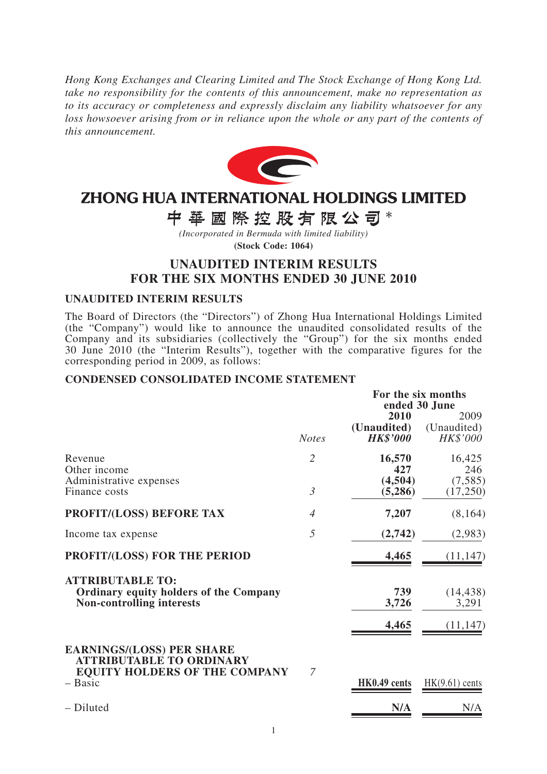*Hong Kong Exchanges and Clearing Limited and The Stock Exchange of Hong Kong Ltd. take no responsibility for the contents of this announcement, make no representation as to its accuracy or completeness and expressly disclaim any liability whatsoever for any*  loss howsoever arising from or in reliance upon the whole or any part of the contents of *this announcement.*



# ZHONG HUA INTERNATIONAL HOLDINGS LIMITED

中華國際控股有限公司\*

*(Incorporated in Bermuda with limited liability)* **(Stock Code: 1064)**

## **UNAUDITED INTERIM RESULTS FOR THE SIX MONTHS ENDED 30 JUNE 2010**

#### **UNAUDITED INTERIM RESULTS**

The Board of Directors (the "Directors") of Zhong Hua International Holdings Limited (the "Company") would like to announce the unaudited consolidated results of the Company and its subsidiaries (collectively the "Group") for the six months ended 30 June 2010 (the "Interim Results"), together with the comparative figures for the corresponding period in 2009, as follows:

#### **CONDENSED CONSOLIDATED INCOME STATEMENT**

|                                                                                                              |                | For the six months<br>ended 30 June    |                                 |  |
|--------------------------------------------------------------------------------------------------------------|----------------|----------------------------------------|---------------------------------|--|
|                                                                                                              | <b>Notes</b>   | 2010<br>(Unaudited)<br><b>HK\$'000</b> | 2009<br>(Unaudited)<br>HK\$'000 |  |
| Revenue<br>Other income                                                                                      | $\overline{2}$ | 16,570<br>427                          | 16,425<br>246                   |  |
| Administrative expenses<br>Finance costs                                                                     | $\mathfrak{Z}$ | (4,504)<br>(5,286)                     | (7,585)<br>(17,250)             |  |
| PROFIT/(LOSS) BEFORE TAX                                                                                     | $\overline{4}$ | 7,207                                  | (8,164)                         |  |
| Income tax expense                                                                                           | 5              | (2,742)                                | (2,983)                         |  |
| <b>PROFIT/(LOSS) FOR THE PERIOD</b>                                                                          |                | 4,465                                  | (11, 147)                       |  |
| <b>ATTRIBUTABLE TO:</b><br><b>Ordinary equity holders of the Company</b><br><b>Non-controlling interests</b> |                | 739<br>3,726                           | (14, 438)<br>3,291              |  |
|                                                                                                              |                | 4,465                                  | (11, 147)                       |  |
| <b>EARNINGS/(LOSS) PER SHARE</b><br><b>ATTRIBUTABLE TO ORDINARY</b><br><b>EQUITY HOLDERS OF THE COMPANY</b>  | 7              |                                        |                                 |  |
| - Basic                                                                                                      |                | HK0.49 cents                           | $HK(9.61)$ cents                |  |
| - Diluted                                                                                                    |                | N/A                                    | N/A                             |  |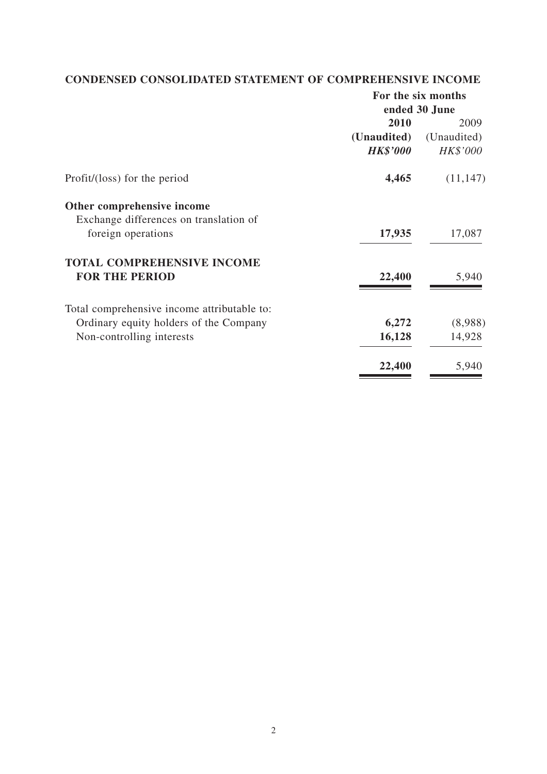## **CONDENSED CONSOLIDATED STATEMENT OF COMPREHENSIVE INCOME**

|                                             | For the six months |             |  |
|---------------------------------------------|--------------------|-------------|--|
|                                             | ended 30 June      |             |  |
|                                             | 2010               | 2009        |  |
|                                             | (Unaudited)        | (Unaudited) |  |
|                                             | <b>HK\$'000</b>    | HK\$'000    |  |
| Profit/(loss) for the period                | 4,465              | (11, 147)   |  |
| Other comprehensive income                  |                    |             |  |
| Exchange differences on translation of      |                    |             |  |
| foreign operations                          | 17,935             | 17,087      |  |
| <b>TOTAL COMPREHENSIVE INCOME</b>           |                    |             |  |
| <b>FOR THE PERIOD</b>                       | 22,400             | 5,940       |  |
| Total comprehensive income attributable to: |                    |             |  |
| Ordinary equity holders of the Company      | 6,272              | (8,988)     |  |
| Non-controlling interests                   | 16,128             | 14,928      |  |
|                                             | 22,400             | 5,940       |  |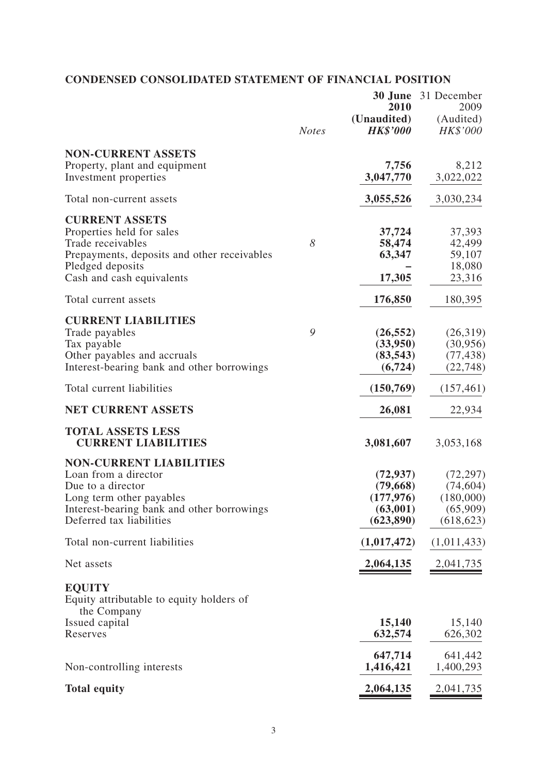## **CONDENSED CONSOLIDATED STATEMENT OF FINANCIAL POSITION**

|                                                                                                                                                                                   | <b>Notes</b> | 2010<br>(Unaudited)<br><b>HK\$'000</b>                        | <b>30 June</b> 31 December<br>2009<br>(Audited)<br>HK\$'000   |
|-----------------------------------------------------------------------------------------------------------------------------------------------------------------------------------|--------------|---------------------------------------------------------------|---------------------------------------------------------------|
| <b>NON-CURRENT ASSETS</b><br>Property, plant and equipment<br>Investment properties                                                                                               |              | 7,756<br>3,047,770                                            | 8,212<br>3,022,022                                            |
| Total non-current assets                                                                                                                                                          |              | 3,055,526                                                     | 3,030,234                                                     |
| <b>CURRENT ASSETS</b><br>Properties held for sales<br>Trade receivables<br>Prepayments, deposits and other receivables<br>Pledged deposits<br>Cash and cash equivalents           | 8            | 37,724<br>58,474<br>63,347<br>17,305                          | 37,393<br>42,499<br>59,107<br>18,080<br>23,316                |
| Total current assets                                                                                                                                                              |              | 176,850                                                       | 180,395                                                       |
| <b>CURRENT LIABILITIES</b><br>Trade payables<br>Tax payable<br>Other payables and accruals<br>Interest-bearing bank and other borrowings                                          | 9            | (26, 552)<br>(33,950)<br>(83, 543)<br>(6, 724)                | (26,319)<br>(30, 956)<br>(77, 438)<br>(22, 748)               |
| Total current liabilities                                                                                                                                                         |              | (150, 769)                                                    | (157, 461)                                                    |
| <b>NET CURRENT ASSETS</b>                                                                                                                                                         |              | 26,081                                                        | 22,934                                                        |
| <b>TOTAL ASSETS LESS</b><br><b>CURRENT LIABILITIES</b>                                                                                                                            |              | 3,081,607                                                     | 3,053,168                                                     |
| <b>NON-CURRENT LIABILITIES</b><br>Loan from a director<br>Due to a director<br>Long term other payables<br>Interest-bearing bank and other borrowings<br>Deferred tax liabilities |              | (72, 937)<br>(79,668)<br>(177, 976)<br>(63,001)<br>(623, 890) | (72, 297)<br>(74, 604)<br>(180,000)<br>(65,909)<br>(618, 623) |
| Total non-current liabilities                                                                                                                                                     |              | (1,017,472)                                                   | (1,011,433)                                                   |
| Net assets                                                                                                                                                                        |              | 2,064,135                                                     | 2,041,735                                                     |
| <b>EQUITY</b><br>Equity attributable to equity holders of<br>the Company                                                                                                          |              |                                                               |                                                               |
| Issued capital<br>Reserves                                                                                                                                                        |              | 15,140<br>632,574                                             | 15,140<br>626,302                                             |
| Non-controlling interests                                                                                                                                                         |              | 647,714<br>1,416,421                                          | 641,442<br>1,400,293                                          |
| <b>Total equity</b>                                                                                                                                                               |              | 2,064,135                                                     | 2,041,735                                                     |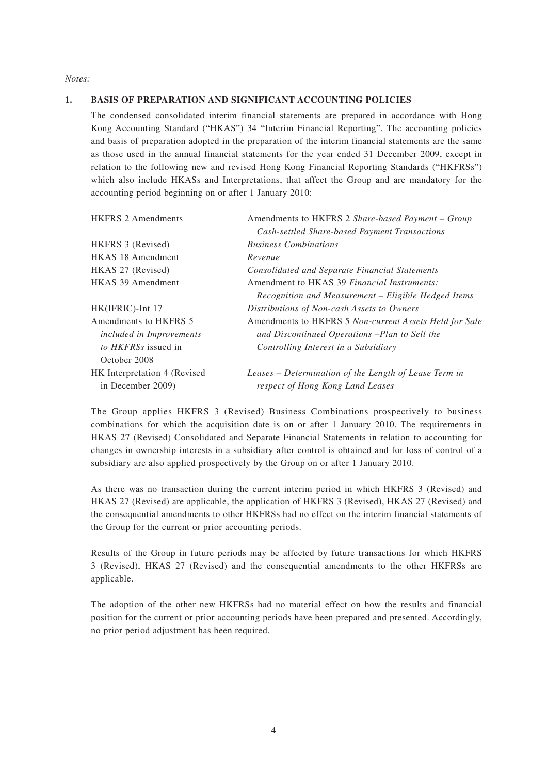*Notes:*

#### **1. BASIS OF PREPARATION AND SIGNIFICANT ACCOUNTING POLICIES**

The condensed consolidated interim financial statements are prepared in accordance with Hong Kong Accounting Standard ("HKAS") 34 "Interim Financial Reporting". The accounting policies and basis of preparation adopted in the preparation of the interim financial statements are the same as those used in the annual financial statements for the year ended 31 December 2009, except in relation to the following new and revised Hong Kong Financial Reporting Standards ("HKFRSs") which also include HKASs and Interpretations, that affect the Group and are mandatory for the accounting period beginning on or after 1 January 2010:

| <b>HKFRS 2 Amendments</b>       | Amendments to HKFRS 2 Share-based Payment - Group      |
|---------------------------------|--------------------------------------------------------|
|                                 | Cash-settled Share-based Payment Transactions          |
| HKFRS 3 (Revised)               | <b>Business Combinations</b>                           |
| <b>HKAS 18 Amendment</b>        | Revenue                                                |
| HKAS 27 (Revised)               | <b>Consolidated and Separate Financial Statements</b>  |
| <b>HKAS 39 Amendment</b>        | Amendment to HKAS 39 Financial Instruments:            |
|                                 | Recognition and Measurement – Eligible Hedged Items    |
| HK(IFRIC)-Int 17                | Distributions of Non-cash Assets to Owners             |
| Amendments to HKFRS 5           | Amendments to HKFRS 5 Non-current Assets Held for Sale |
| <i>included in Improvements</i> | and Discontinued Operations -Plan to Sell the          |
| to HKFRSs issued in             | Controlling Interest in a Subsidiary                   |
| October 2008                    |                                                        |
| HK Interpretation 4 (Revised    | Leases – Determination of the Length of Lease Term in  |
| in December 2009)               | respect of Hong Kong Land Leases                       |

The Group applies HKFRS 3 (Revised) Business Combinations prospectively to business combinations for which the acquisition date is on or after 1 January 2010. The requirements in HKAS 27 (Revised) Consolidated and Separate Financial Statements in relation to accounting for changes in ownership interests in a subsidiary after control is obtained and for loss of control of a subsidiary are also applied prospectively by the Group on or after 1 January 2010.

As there was no transaction during the current interim period in which HKFRS 3 (Revised) and HKAS 27 (Revised) are applicable, the application of HKFRS 3 (Revised), HKAS 27 (Revised) and the consequential amendments to other HKFRSs had no effect on the interim financial statements of the Group for the current or prior accounting periods.

Results of the Group in future periods may be affected by future transactions for which HKFRS 3 (Revised), HKAS 27 (Revised) and the consequential amendments to the other HKFRSs are applicable.

The adoption of the other new HKFRSs had no material effect on how the results and financial position for the current or prior accounting periods have been prepared and presented. Accordingly, no prior period adjustment has been required.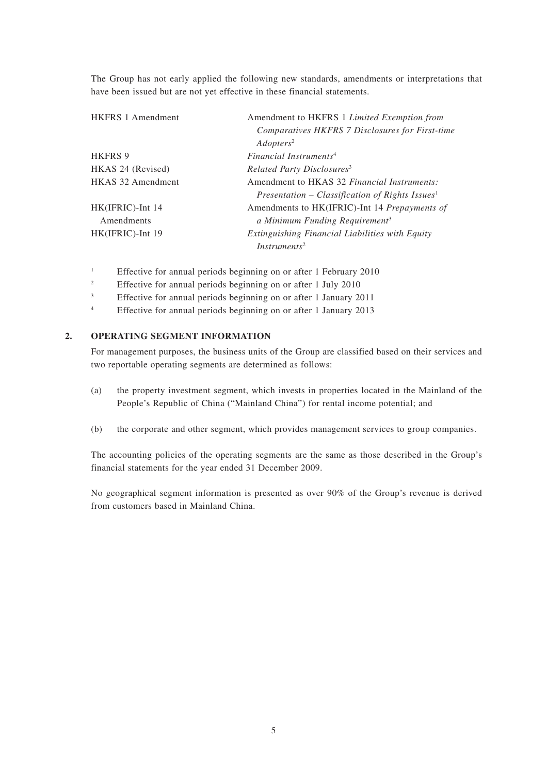The Group has not early applied the following new standards, amendments or interpretations that have been issued but are not yet effective in these financial statements.

| <b>HKFRS 1 Amendment</b> | Amendment to HKFRS 1 Limited Exemption from                 |
|--------------------------|-------------------------------------------------------------|
|                          | Comparatives HKFRS 7 Disclosures for First-time             |
|                          | Adopters <sup>2</sup>                                       |
| <b>HKFRS 9</b>           | Financial Instruments <sup>4</sup>                          |
| HKAS 24 (Revised)        | Related Party Disclosures <sup>3</sup>                      |
| <b>HKAS 32 Amendment</b> | Amendment to HKAS 32 <i>Financial Instruments:</i>          |
|                          | Presentation – Classification of Rights Issues <sup>1</sup> |
| HK(IFRIC)-Int 14         | Amendments to HK(IFRIC)-Int 14 Prepayments of               |
| Amendments               | a Minimum Funding Requirement <sup>3</sup>                  |
| HK(IFRIC)-Int 19         | Extinguishing Financial Liabilities with Equity             |
|                          | Instruments <sup>2</sup>                                    |

1 Effective for annual periods beginning on or after 1 February 2010

- 2 Effective for annual periods beginning on or after 1 July 2010
- 3 Effective for annual periods beginning on or after 1 January 2011
- 4 Effective for annual periods beginning on or after 1 January 2013

#### **2. OPERATING SEGMENT INFORMATION**

For management purposes, the business units of the Group are classified based on their services and two reportable operating segments are determined as follows:

- (a) the property investment segment, which invests in properties located in the Mainland of the People's Republic of China ("Mainland China") for rental income potential; and
- (b) the corporate and other segment, which provides management services to group companies.

The accounting policies of the operating segments are the same as those described in the Group's financial statements for the year ended 31 December 2009.

No geographical segment information is presented as over 90% of the Group's revenue is derived from customers based in Mainland China.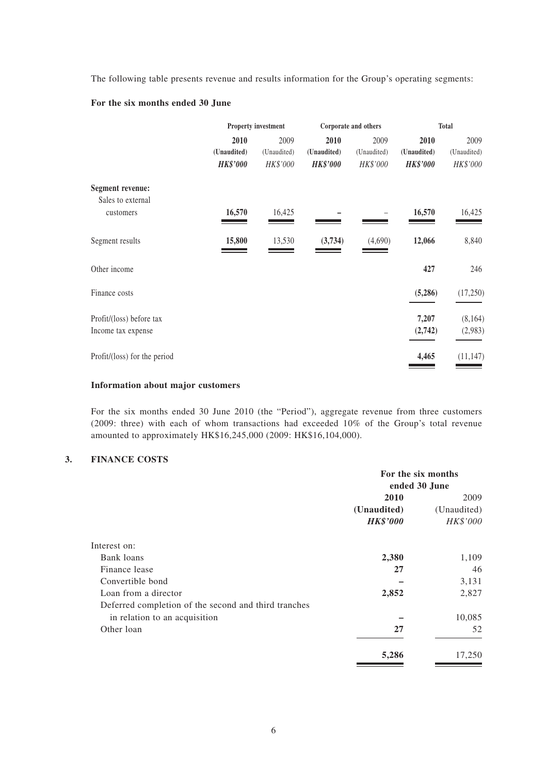The following table presents revenue and results information for the Group's operating segments:

#### **For the six months ended 30 June**

|                                                | <b>Property investment</b>             |                                 | Corporate and others                   |                                 | <b>Total</b>                           |                                 |
|------------------------------------------------|----------------------------------------|---------------------------------|----------------------------------------|---------------------------------|----------------------------------------|---------------------------------|
|                                                | 2010<br>(Unaudited)<br><b>HK\$'000</b> | 2009<br>(Unaudited)<br>HK\$'000 | 2010<br>(Unaudited)<br><b>HK\$'000</b> | 2009<br>(Unaudited)<br>HK\$'000 | 2010<br>(Unaudited)<br><b>HK\$'000</b> | 2009<br>(Unaudited)<br>HK\$'000 |
| <b>Segment revenue:</b><br>Sales to external   |                                        |                                 |                                        |                                 |                                        |                                 |
| customers                                      | 16,570                                 | 16,425                          |                                        |                                 | 16,570                                 | 16,425                          |
| Segment results                                | 15,800                                 | 13,530                          | (3,734)                                | (4,690)                         | 12,066                                 | 8,840                           |
| Other income                                   |                                        |                                 |                                        |                                 | 427                                    | 246                             |
| Finance costs                                  |                                        |                                 |                                        |                                 | (5,286)                                | (17,250)                        |
| Profit/(loss) before tax<br>Income tax expense |                                        |                                 |                                        |                                 | 7,207<br>(2,742)                       | (8, 164)<br>(2,983)             |
| Profit/(loss) for the period                   |                                        |                                 |                                        |                                 | 4,465                                  | (11, 147)                       |

#### **Information about major customers**

For the six months ended 30 June 2010 (the "Period"), aggregate revenue from three customers (2009: three) with each of whom transactions had exceeded 10% of the Group's total revenue amounted to approximately HK\$16,245,000 (2009: HK\$16,104,000).

#### **3. FINANCE COSTS**

|                                                      | For the six months<br>ended 30 June |             |  |
|------------------------------------------------------|-------------------------------------|-------------|--|
|                                                      |                                     |             |  |
|                                                      | 2010                                | 2009        |  |
|                                                      | (Unaudited)                         | (Unaudited) |  |
|                                                      | <b>HK\$'000</b>                     | HK\$'000    |  |
| Interest on:                                         |                                     |             |  |
| Bank loans                                           | 2,380                               | 1,109       |  |
| Finance lease                                        | 27                                  | 46          |  |
| Convertible bond                                     |                                     | 3,131       |  |
| Loan from a director                                 | 2,852                               | 2,827       |  |
| Deferred completion of the second and third tranches |                                     |             |  |
| in relation to an acquisition                        |                                     | 10,085      |  |
| Other loan                                           | 27                                  | 52          |  |
|                                                      | 5,286                               | 17,250      |  |
|                                                      |                                     |             |  |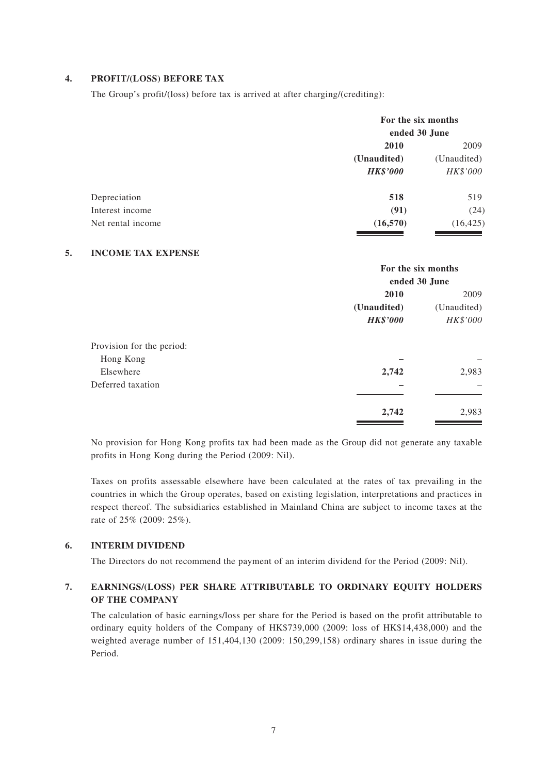#### **4. PROFIT/(LOSS) BEFORE TAX**

The Group's profit/(loss) before tax is arrived at after charging/(crediting):

| 2009        |
|-------------|
| (Unaudited) |
| HK\$'000    |
| 519         |
| (24)        |
| (16, 425)   |
|             |

#### **5. INCOME TAX EXPENSE**

|                           | For the six months |                     |  |
|---------------------------|--------------------|---------------------|--|
|                           | ended 30 June      |                     |  |
|                           | 2010               | 2009<br>(Unaudited) |  |
|                           | (Unaudited)        |                     |  |
|                           | <b>HK\$'000</b>    | HK\$'000            |  |
| Provision for the period: |                    |                     |  |
| Hong Kong                 |                    |                     |  |
| Elsewhere                 | 2,742              | 2,983               |  |
| Deferred taxation         |                    |                     |  |
|                           | 2,742              | 2,983               |  |

No provision for Hong Kong profits tax had been made as the Group did not generate any taxable profits in Hong Kong during the Period (2009: Nil).

Taxes on profits assessable elsewhere have been calculated at the rates of tax prevailing in the countries in which the Group operates, based on existing legislation, interpretations and practices in respect thereof. The subsidiaries established in Mainland China are subject to income taxes at the rate of 25% (2009: 25%).

#### **6. INTERIM DIVIDEND**

The Directors do not recommend the payment of an interim dividend for the Period (2009: Nil).

#### **7. EARNINGS/(LOSS) PER SHARE ATTRIBUTABLE TO ORDINARY EQUITY HOLDERS OF THE COMPANY**

The calculation of basic earnings/loss per share for the Period is based on the profit attributable to ordinary equity holders of the Company of HK\$739,000 (2009: loss of HK\$14,438,000) and the weighted average number of 151,404,130 (2009: 150,299,158) ordinary shares in issue during the Period.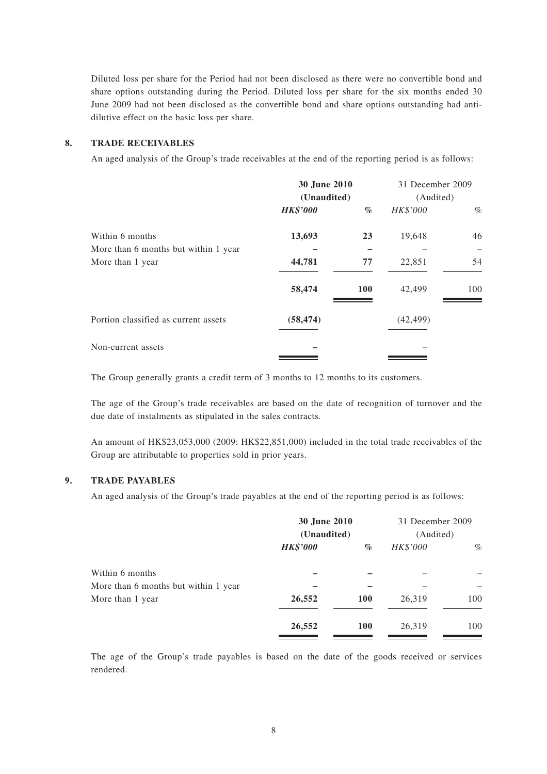Diluted loss per share for the Period had not been disclosed as there were no convertible bond and share options outstanding during the Period. Diluted loss per share for the six months ended 30 June 2009 had not been disclosed as the convertible bond and share options outstanding had antidilutive effect on the basic loss per share.

#### **8. TRADE RECEIVABLES**

An aged analysis of the Group's trade receivables at the end of the reporting period is as follows:

|                                      | <b>30 June 2010</b><br>(Unaudited) |            | 31 December 2009 |      |  |
|--------------------------------------|------------------------------------|------------|------------------|------|--|
|                                      |                                    |            | (Audited)        |      |  |
|                                      | <b>HK\$'000</b>                    | $\%$       | HK\$'000         | $\%$ |  |
| Within 6 months                      | 13,693                             | 23         | 19,648           | 46   |  |
| More than 6 months but within 1 year |                                    |            |                  |      |  |
| More than 1 year                     | 44,781                             | 77         | 22,851           | 54   |  |
|                                      | 58,474                             | <b>100</b> | 42,499           | 100  |  |
| Portion classified as current assets | (58, 474)                          |            | (42, 499)        |      |  |
| Non-current assets                   |                                    |            |                  |      |  |

The Group generally grants a credit term of 3 months to 12 months to its customers.

The age of the Group's trade receivables are based on the date of recognition of turnover and the due date of instalments as stipulated in the sales contracts.

An amount of HK\$23,053,000 (2009: HK\$22,851,000) included in the total trade receivables of the Group are attributable to properties sold in prior years.

#### **9. TRADE PAYABLES**

An aged analysis of the Group's trade payables at the end of the reporting period is as follows:

|                                      | 30 June 2010<br>(Unaudited) |            | 31 December 2009<br>(Audited) |      |
|--------------------------------------|-----------------------------|------------|-------------------------------|------|
|                                      | <b>HK\$'000</b>             | $\%$       | HK\$'000                      | $\%$ |
| Within 6 months                      |                             |            |                               |      |
| More than 6 months but within 1 year |                             |            |                               |      |
| More than 1 year                     | 26,552                      | <b>100</b> | 26,319                        | 100  |
|                                      | 26,552                      | <b>100</b> | 26,319                        | 100  |
|                                      |                             |            |                               |      |

The age of the Group's trade payables is based on the date of the goods received or services rendered.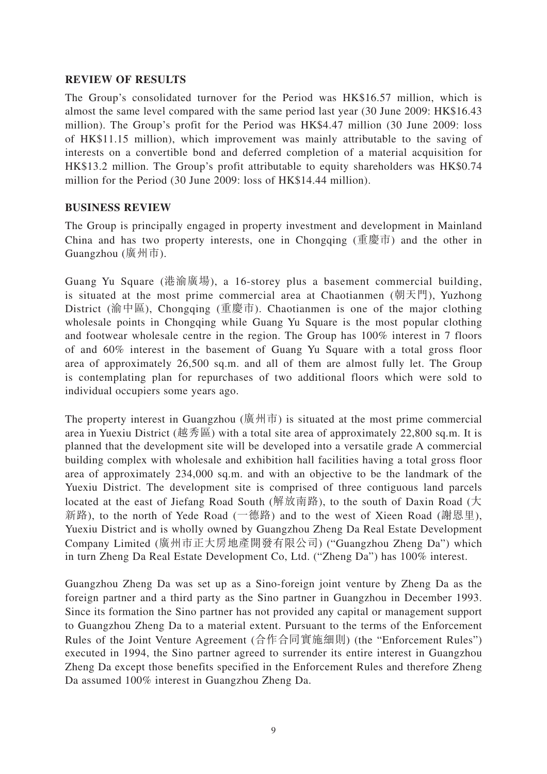#### **REVIEW OF RESULTS**

The Group's consolidated turnover for the Period was HK\$16.57 million, which is almost the same level compared with the same period last year (30 June 2009: HK\$16.43 million). The Group's profit for the Period was HK\$4.47 million (30 June 2009: loss of HK\$11.15 million), which improvement was mainly attributable to the saving of interests on a convertible bond and deferred completion of a material acquisition for HK\$13.2 million. The Group's profit attributable to equity shareholders was HK\$0.74 million for the Period (30 June 2009: loss of HK\$14.44 million).

#### **BUSINESS REVIEW**

The Group is principally engaged in property investment and development in Mainland China and has two property interests, one in Chongqing (重慶市) and the other in Guangzhou (廣州市).

Guang Yu Square (港渝廣場), a 16-storey plus a basement commercial building, is situated at the most prime commercial area at Chaotianmen (朝天門), Yuzhong District (渝中區), Chongqing (重慶市). Chaotianmen is one of the major clothing wholesale points in Chongqing while Guang Yu Square is the most popular clothing and footwear wholesale centre in the region. The Group has 100% interest in 7 floors of and 60% interest in the basement of Guang Yu Square with a total gross floor area of approximately 26,500 sq.m. and all of them are almost fully let. The Group is contemplating plan for repurchases of two additional floors which were sold to individual occupiers some years ago.

The property interest in Guangzhou (廣州市) is situated at the most prime commercial area in Yuexiu District (越秀區) with a total site area of approximately 22,800 sq.m. It is planned that the development site will be developed into a versatile grade A commercial building complex with wholesale and exhibition hall facilities having a total gross floor area of approximately 234,000 sq.m. and with an objective to be the landmark of the Yuexiu District. The development site is comprised of three contiguous land parcels located at the east of Jiefang Road South (解放南路), to the south of Daxin Road (大 新路), to the north of Yede Road (一德路) and to the west of Xieen Road (謝恩里), Yuexiu District and is wholly owned by Guangzhou Zheng Da Real Estate Development Company Limited (廣州市正大房地產開發有限公司) ("Guangzhou Zheng Da") which in turn Zheng Da Real Estate Development Co, Ltd. ("Zheng Da") has 100% interest.

Guangzhou Zheng Da was set up as a Sino-foreign joint venture by Zheng Da as the foreign partner and a third party as the Sino partner in Guangzhou in December 1993. Since its formation the Sino partner has not provided any capital or management support to Guangzhou Zheng Da to a material extent. Pursuant to the terms of the Enforcement Rules of the Joint Venture Agreement (合作合同實施細則) (the "Enforcement Rules") executed in 1994, the Sino partner agreed to surrender its entire interest in Guangzhou Zheng Da except those benefits specified in the Enforcement Rules and therefore Zheng Da assumed 100% interest in Guangzhou Zheng Da.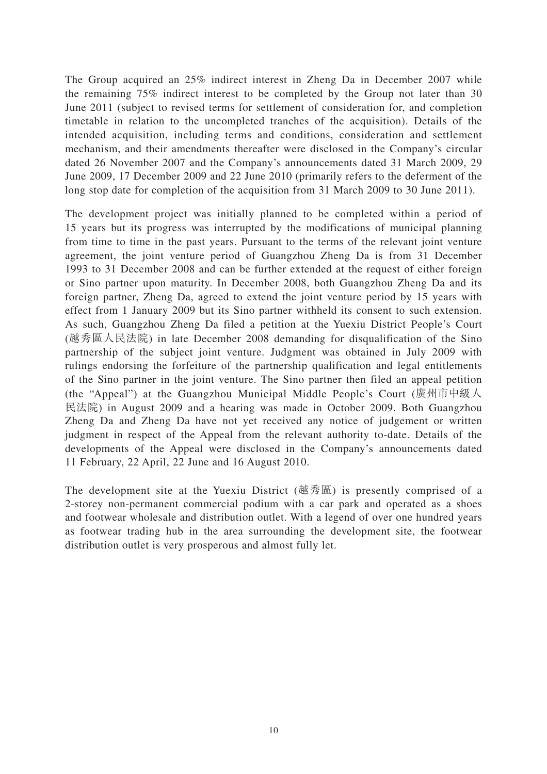The Group acquired an 25% indirect interest in Zheng Da in December 2007 while the remaining 75% indirect interest to be completed by the Group not later than 30 June 2011 (subject to revised terms for settlement of consideration for, and completion timetable in relation to the uncompleted tranches of the acquisition). Details of the intended acquisition, including terms and conditions, consideration and settlement mechanism, and their amendments thereafter were disclosed in the Company's circular dated 26 November 2007 and the Company's announcements dated 31 March 2009, 29 June 2009, 17 December 2009 and 22 June 2010 (primarily refers to the deferment of the long stop date for completion of the acquisition from 31 March 2009 to 30 June 2011).

The development project was initially planned to be completed within a period of 15 years but its progress was interrupted by the modifications of municipal planning from time to time in the past years. Pursuant to the terms of the relevant joint venture agreement, the joint venture period of Guangzhou Zheng Da is from 31 December 1993 to 31 December 2008 and can be further extended at the request of either foreign or Sino partner upon maturity. In December 2008, both Guangzhou Zheng Da and its foreign partner, Zheng Da, agreed to extend the joint venture period by 15 years with effect from 1 January 2009 but its Sino partner withheld its consent to such extension. As such, Guangzhou Zheng Da filed a petition at the Yuexiu District People's Court (越秀區人民法院) in late December 2008 demanding for disqualification of the Sino partnership of the subject joint venture. Judgment was obtained in July 2009 with rulings endorsing the forfeiture of the partnership qualification and legal entitlements of the Sino partner in the joint venture. The Sino partner then filed an appeal petition (the "Appeal") at the Guangzhou Municipal Middle People's Court (廣州市中級人 民法院) in August 2009 and a hearing was made in October 2009. Both Guangzhou Zheng Da and Zheng Da have not yet received any notice of judgement or written judgment in respect of the Appeal from the relevant authority to-date. Details of the developments of the Appeal were disclosed in the Company's announcements dated 11 February, 22 April, 22 June and 16 August 2010.

The development site at the Yuexiu District (越秀區) is presently comprised of a 2-storey non-permanent commercial podium with a car park and operated as a shoes and footwear wholesale and distribution outlet. With a legend of over one hundred years as footwear trading hub in the area surrounding the development site, the footwear distribution outlet is very prosperous and almost fully let.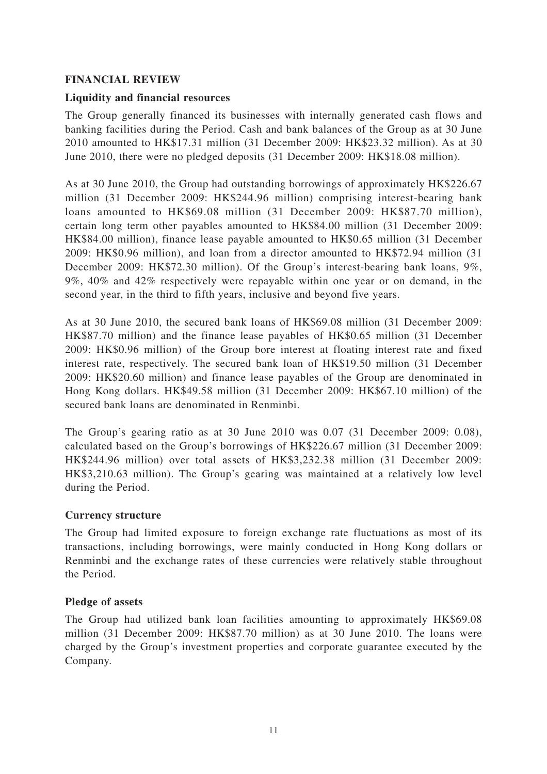## **FINANCIAL REVIEW**

## **Liquidity and financial resources**

The Group generally financed its businesses with internally generated cash flows and banking facilities during the Period. Cash and bank balances of the Group as at 30 June 2010 amounted to HK\$17.31 million (31 December 2009: HK\$23.32 million). As at 30 June 2010, there were no pledged deposits (31 December 2009: HK\$18.08 million).

As at 30 June 2010, the Group had outstanding borrowings of approximately HK\$226.67 million (31 December 2009: HK\$244.96 million) comprising interest-bearing bank loans amounted to HK\$69.08 million (31 December 2009: HK\$87.70 million), certain long term other payables amounted to HK\$84.00 million (31 December 2009: HK\$84.00 million), finance lease payable amounted to HK\$0.65 million (31 December 2009: HK\$0.96 million), and loan from a director amounted to HK\$72.94 million (31 December 2009: HK\$72.30 million). Of the Group's interest-bearing bank loans, 9%, 9%, 40% and 42% respectively were repayable within one year or on demand, in the second year, in the third to fifth years, inclusive and beyond five years.

As at 30 June 2010, the secured bank loans of HK\$69.08 million (31 December 2009: HK\$87.70 million) and the finance lease payables of HK\$0.65 million (31 December 2009: HK\$0.96 million) of the Group bore interest at floating interest rate and fixed interest rate, respectively. The secured bank loan of HK\$19.50 million (31 December 2009: HK\$20.60 million) and finance lease payables of the Group are denominated in Hong Kong dollars. HK\$49.58 million (31 December 2009: HK\$67.10 million) of the secured bank loans are denominated in Renminbi.

The Group's gearing ratio as at 30 June 2010 was 0.07 (31 December 2009: 0.08), calculated based on the Group's borrowings of HK\$226.67 million (31 December 2009: HK\$244.96 million) over total assets of HK\$3,232.38 million (31 December 2009: HK\$3,210.63 million). The Group's gearing was maintained at a relatively low level during the Period.

## **Currency structure**

The Group had limited exposure to foreign exchange rate fluctuations as most of its transactions, including borrowings, were mainly conducted in Hong Kong dollars or Renminbi and the exchange rates of these currencies were relatively stable throughout the Period.

## **Pledge of assets**

The Group had utilized bank loan facilities amounting to approximately HK\$69.08 million (31 December 2009: HK\$87.70 million) as at 30 June 2010. The loans were charged by the Group's investment properties and corporate guarantee executed by the Company.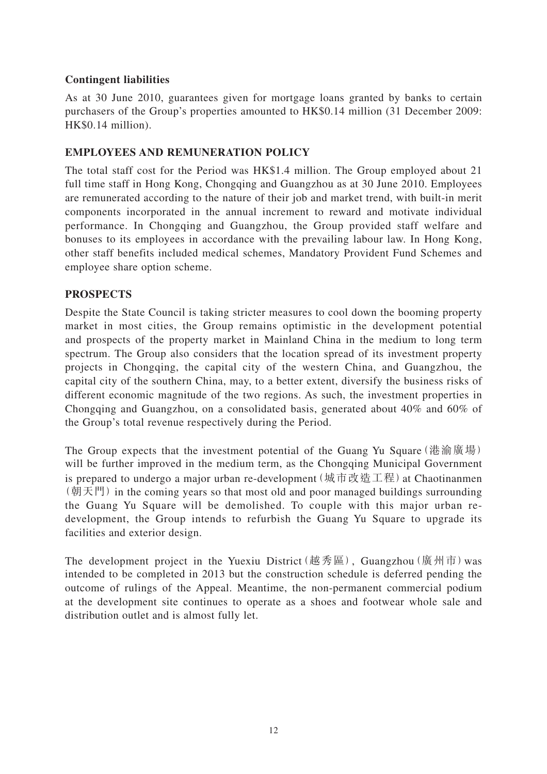## **Contingent liabilities**

As at 30 June 2010, guarantees given for mortgage loans granted by banks to certain purchasers of the Group's properties amounted to HK\$0.14 million (31 December 2009: HK\$0.14 million).

## **EMPLOYEES AND REMUNERATION POLICY**

The total staff cost for the Period was HK\$1.4 million. The Group employed about 21 full time staff in Hong Kong, Chongqing and Guangzhou as at 30 June 2010. Employees are remunerated according to the nature of their job and market trend, with built-in merit components incorporated in the annual increment to reward and motivate individual performance. In Chongqing and Guangzhou, the Group provided staff welfare and bonuses to its employees in accordance with the prevailing labour law. In Hong Kong, other staff benefits included medical schemes, Mandatory Provident Fund Schemes and employee share option scheme.

## **PROSPECTS**

Despite the State Council is taking stricter measures to cool down the booming property market in most cities, the Group remains optimistic in the development potential and prospects of the property market in Mainland China in the medium to long term spectrum. The Group also considers that the location spread of its investment property projects in Chongqing, the capital city of the western China, and Guangzhou, the capital city of the southern China, may, to a better extent, diversify the business risks of different economic magnitude of the two regions. As such, the investment properties in Chongqing and Guangzhou, on a consolidated basis, generated about 40% and 60% of the Group's total revenue respectively during the Period.

The Group expects that the investment potential of the Guang Yu Square (港渝廣場) will be further improved in the medium term, as the Chongqing Municipal Government is prepared to undergo a major urban re-development (城市改造工程) at Chaotinanmen (朝天門) in the coming years so that most old and poor managed buildings surrounding the Guang Yu Square will be demolished. To couple with this major urban redevelopment, the Group intends to refurbish the Guang Yu Square to upgrade its facilities and exterior design.

The development project in the Yuexiu District(越秀區), Guangzhou (廣州市) was intended to be completed in 2013 but the construction schedule is deferred pending the outcome of rulings of the Appeal. Meantime, the non-permanent commercial podium at the development site continues to operate as a shoes and footwear whole sale and distribution outlet and is almost fully let.